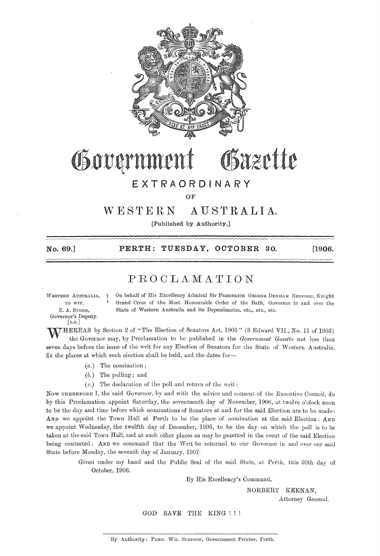

### Bazette Government

#### EXTRAORDINARY

OF

#### vYESTERN AUSTRALIA.

[Published by Authority.]

No. 69.J

PERTH: TUESDAY, OCTOBER 30. [1906.

 $\sim$ 

#### PROOLAMATION

WESTERN AUSTRALIA, TO WIT. E. A. STONE, Governor's Deputy.  $\left[$ L.S. $\right]$ 

On behalf of His Excellency Admiral Sir FREDERICK GEORGE DENHAM BEDFORD, Knight Grand Cross of the Most Honourable Order of the Bath, Governor in and over the State of Western Australia and its Dependencies, etc., etc., etc.

WHEREAS by Section 2 of "The Eleetion of Senators Act, 1903" (3 Edward VII., No. 11 of 1903) the Governor may, by Proclamation to be published in the *Govenunent Gazette* not less than seven days before the issue of the writ for any Election of Senators for the State of Western Australia. fix the places at which such election shall be held, and the dates for-

*(a.)* The nomination;

'( \

- $(b.)$  The polling; and
- $(c.)$  The declaration of the poll and return of the writ:

Now THEREFORE I, the said Governor, by and with the advice and consent of the Executive Council, do by this Proclamation appoint Saturday, the seventeenth day of November, 1906, at twelve o'clock noon to be the day and time before which nominations of Senators at and for the said Election are to be made: AND we appoint the Town Hall at Perth to be the place of nomination at the said Election: AND we appoint Wednesday, the twelfth day of December, 1906, to be the day on which the poll is to be taken at the said Town Hall, and at such other places as may be gazetted in the event of the said Election being contested: AND we command that the Writ be returned to our Governor in and over our said State before Monday, the seventh day of January, 1907.

> Given under my hand and the Public Seal of the said State, at Perth, this 30th day of October, 1906.

> > By His Excellency's Command,

NORBERT KEENAN,

Attorney General.

GOD SAVE THE KING !!!